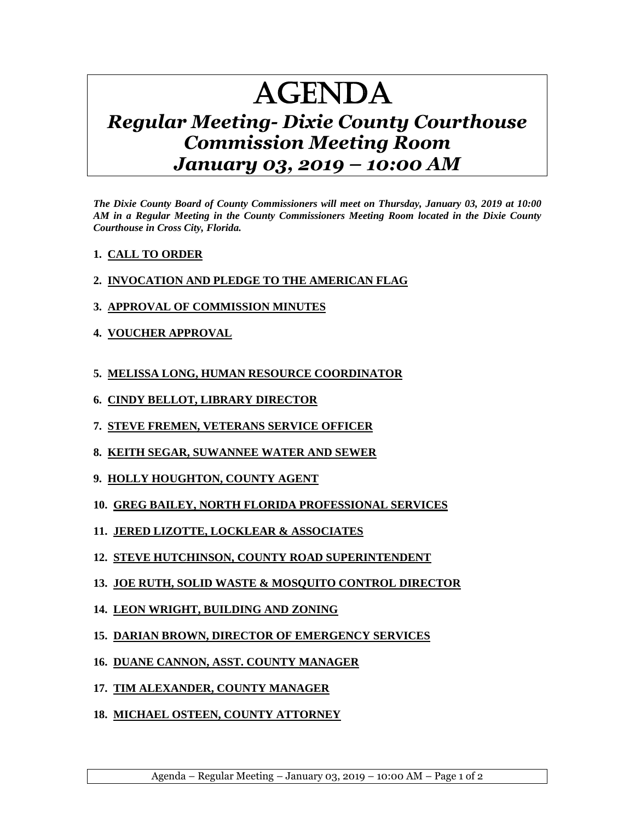# AGENDA

## *Regular Meeting- Dixie County Courthouse Commission Meeting Room January 03, 2019 – 10:00 AM*

*The Dixie County Board of County Commissioners will meet on Thursday, January 03, 2019 at 10:00 AM in a Regular Meeting in the County Commissioners Meeting Room located in the Dixie County Courthouse in Cross City, Florida.*

- **1. CALL TO ORDER**
- **2. INVOCATION AND PLEDGE TO THE AMERICAN FLAG**
- **3. APPROVAL OF COMMISSION MINUTES**
- **4. VOUCHER APPROVAL**
- **5. MELISSA LONG, HUMAN RESOURCE COORDINATOR**
- **6. CINDY BELLOT, LIBRARY DIRECTOR**
- **7. STEVE FREMEN, VETERANS SERVICE OFFICER**
- **8. KEITH SEGAR, SUWANNEE WATER AND SEWER**
- **9. HOLLY HOUGHTON, COUNTY AGENT**
- **10. GREG BAILEY, NORTH FLORIDA PROFESSIONAL SERVICES**
- **11. JERED LIZOTTE, LOCKLEAR & ASSOCIATES**
- **12. STEVE HUTCHINSON, COUNTY ROAD SUPERINTENDENT**
- **13. JOE RUTH, SOLID WASTE & MOSQUITO CONTROL DIRECTOR**
- **14. LEON WRIGHT, BUILDING AND ZONING**
- **15. DARIAN BROWN, DIRECTOR OF EMERGENCY SERVICES**
- **16. DUANE CANNON, ASST. COUNTY MANAGER**
- **17. TIM ALEXANDER, COUNTY MANAGER**
- **18. MICHAEL OSTEEN, COUNTY ATTORNEY**